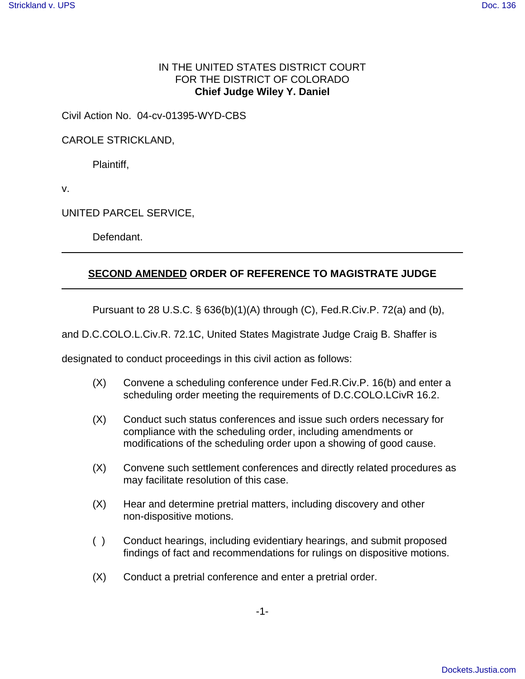## IN THE UNITED STATES DISTRICT COURT FOR THE DISTRICT OF COLORADO **Chief Judge Wiley Y. Daniel**

Civil Action No. 04-cv-01395-WYD-CBS

CAROLE STRICKLAND,

Plaintiff,

v.

UNITED PARCEL SERVICE,

Defendant.

## **SECOND AMENDED ORDER OF REFERENCE TO MAGISTRATE JUDGE**

Pursuant to 28 U.S.C. § 636(b)(1)(A) through (C), Fed.R.Civ.P. 72(a) and (b),

and D.C.COLO.L.Civ.R. 72.1C, United States Magistrate Judge Craig B. Shaffer is

designated to conduct proceedings in this civil action as follows:

- (X) Convene a scheduling conference under Fed.R.Civ.P. 16(b) and enter a scheduling order meeting the requirements of D.C.COLO.LCivR 16.2.
- (X) Conduct such status conferences and issue such orders necessary for compliance with the scheduling order, including amendments or modifications of the scheduling order upon a showing of good cause.
- (X) Convene such settlement conferences and directly related procedures as may facilitate resolution of this case.
- (X) Hear and determine pretrial matters, including discovery and other non-dispositive motions.
- ( ) Conduct hearings, including evidentiary hearings, and submit proposed findings of fact and recommendations for rulings on dispositive motions.
- (X) Conduct a pretrial conference and enter a pretrial order.